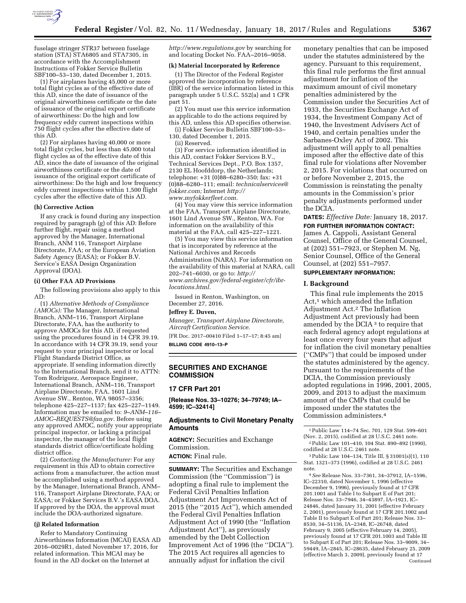

fuselage stringer STR37 between fuselage station (STA) STA6805 and STA7305, in accordance with the Accomplishment Instructions of Fokker Service Bulletin SBF100–53–130, dated December 1, 2015.

(1) For airplanes having 45,000 or more total flight cycles as of the effective date of this AD, since the date of issuance of the original airworthiness certificate or the date of issuance of the original export certificate of airworthiness: Do the high and low frequency eddy current inspections within 750 flight cycles after the effective date of this AD.

(2) For airplanes having 40,000 or more total flight cycles, but less than 45,000 total flight cycles as of the effective date of this AD, since the date of issuance of the original airworthiness certificate or the date of issuance of the original export certificate of airworthiness: Do the high and low frequency eddy current inspections within 1,500 flight cycles after the effective date of this AD.

#### **(h) Corrective Action**

If any crack is found during any inspection required by paragraph (g) of this AD: Before further flight, repair using a method approved by the Manager, International Branch, ANM 116, Transport Airplane Directorate, FAA; or the European Aviation Safety Agency (EASA); or Fokker B.V. Service's EASA Design Organization Approval (DOA).

### **(i) Other FAA AD Provisions**

The following provisions also apply to this AD:

(1) *Alternative Methods of Compliance (AMOCs):* The Manager, International Branch, ANM–116, Transport Airplane Directorate, FAA, has the authority to approve AMOCs for this AD, if requested using the procedures found in 14 CFR 39.19. In accordance with 14 CFR 39.19, send your request to your principal inspector or local Flight Standards District Office, as appropriate. If sending information directly to the International Branch, send it to ATTN: Tom Rodriguez, Aerospace Engineer, International Branch, ANM–116, Transport Airplane Directorate, FAA, 1601 Lind Avenue SW., Renton, WA 98057–3356; telephone 425–227–1137; fax 425–227–1149. Information may be emailed to: *[9–ANM–116–](mailto:9-ANM-116-AMOC-REQUESTS@faa.gov) [AMOC–REQUESTS@faa.gov.](mailto:9-ANM-116-AMOC-REQUESTS@faa.gov)* Before using any approved AMOC, notify your appropriate principal inspector, or lacking a principal inspector, the manager of the local flight standards district office/certificate holding district office.

(2) *Contacting the Manufacturer:* For any requirement in this AD to obtain corrective actions from a manufacturer, the action must be accomplished using a method approved by the Manager, International Branch, ANM– 116, Transport Airplane Directorate, FAA; or EASA; or Fokker Services B.V.'s EASA DOA. If approved by the DOA, the approval must include the DOA-authorized signature.

#### **(j) Related Information**

Refer to Mandatory Continuing Airworthiness Information (MCAI) EASA AD 2016–0029R1, dated November 17, 2016, for related information. This MCAI may be found in the AD docket on the Internet at

*<http://www.regulations.gov>*by searching for and locating Docket No. FAA–2016–9058.

#### **(k) Material Incorporated by Reference**

(1) The Director of the Federal Register approved the incorporation by reference (IBR) of the service information listed in this paragraph under 5 U.S.C. 552(a) and 1 CFR part 51.

(2) You must use this service information as applicable to do the actions required by this AD, unless this AD specifies otherwise.

(i) Fokker Service Bulletin SBF100–53– 130, dated December 1, 2015.

(ii) Reserved.

(3) For service information identified in this AD, contact Fokker Services B.V., Technical Services Dept., P.O. Box 1357, 2130 EL Hoofddorp, the Netherlands; telephone: +31 (0)88–6280–350; fax: +31 (0)88–6280–111; email: *[technicalservices@](mailto:technicalservices@fokker.com) [fokker.com;](mailto:technicalservices@fokker.com)* Internet *[http://](http://www.myfokkerfleet.com) [www.myfokkerfleet.com.](http://www.myfokkerfleet.com)* 

(4) You may view this service information at the FAA, Transport Airplane Directorate, 1601 Lind Avenue SW., Renton, WA. For information on the availability of this material at the FAA, call 425–227–1221.

(5) You may view this service information that is incorporated by reference at the National Archives and Records Administration (NARA). For information on the availability of this material at NARA, call 202–741–6030, or go to: *[http://](http://www.archives.gov/federal-register/cfr/ibr-locations.html) [www.archives.gov/federal-register/cfr/ibr](http://www.archives.gov/federal-register/cfr/ibr-locations.html)[locations.html.](http://www.archives.gov/federal-register/cfr/ibr-locations.html)* 

Issued in Renton, Washington, on December 27, 2016.

#### **Jeffrey E. Duven,**

*Manager, Transport Airplane Directorate, Aircraft Certification Service.* 

[FR Doc. 2017–00410 Filed 1–17–17; 8:45 am] **BILLING CODE 4910–13–P** 

### **SECURITIES AND EXCHANGE COMMISSION**

### **17 CFR Part 201**

**[Release Nos. 33–10276; 34–79749; IA– 4599; IC–32414]** 

# **Adjustments to Civil Monetary Penalty Amounts**

**AGENCY:** Securities and Exchange Commission.

**ACTION:** Final rule.

**SUMMARY:** The Securities and Exchange Commission (the ''Commission'') is adopting a final rule to implement the Federal Civil Penalties Inflation Adjustment Act Improvements Act of 2015 (the ''2015 Act''), which amended the Federal Civil Penalties Inflation Adjustment Act of 1990 (the ''Inflation Adjustment Act''), as previously amended by the Debt Collection Improvement Act of 1996 (the ''DCIA''). The 2015 Act requires all agencies to annually adjust for inflation the civil

monetary penalties that can be imposed under the statutes administered by the agency. Pursuant to this requirement, this final rule performs the first annual adjustment for inflation of the maximum amount of civil monetary penalties administered by the Commission under the Securities Act of 1933, the Securities Exchange Act of 1934, the Investment Company Act of 1940, the Investment Advisers Act of 1940, and certain penalties under the Sarbanes-Oxley Act of 2002. This adjustment will apply to all penalties imposed after the effective date of this final rule for violations after November 2, 2015. For violations that occurred on or before November 2, 2015, the Commission is reinstating the penalty amounts in the Commission's prior penalty adjustments performed under the DCIA.

**DATES:** *Effective Date:* January 18, 2017.

**FOR FURTHER INFORMATION CONTACT:**  James A. Cappoli, Assistant General Counsel, Office of the General Counsel, at (202) 551–7923, or Stephen M. Ng, Senior Counsel, Office of the General Counsel, at (202) 551–7957.

# **SUPPLEMENTARY INFORMATION:**

### **I. Background**

This final rule implements the 2015 Act,1 which amended the Inflation Adjustment Act.2 The Inflation Adjustment Act previously had been amended by the DCIA 3 to require that each federal agency adopt regulations at least once every four years that adjust for inflation the civil monetary penalties (''CMPs'') that could be imposed under the statutes administered by the agency. Pursuant to the requirements of the DCIA, the Commission previously adopted regulations in 1996, 2001, 2005, 2009, and 2013 to adjust the maximum amount of the CMPs that could be imposed under the statutes the Commission administers.4

4*See* Release Nos. 33–7361, 34–37912, IA–1596, IC–22310, dated November 1, 1996 (effective December 9, 1996), previously found at 17 CFR 201.1001 and Table I to Subpart E of Part 201; Release Nos. 33–7946, 34–43897, IA–1921, IC– 24846, dated January 31, 2001 (effective February 2, 2001), previously found at 17 CFR 201.1002 and Table II to Subpart E of Part 201; Release Nos. 33– 8530, 34–51136, IA–2348, IC–26748, dated February 9, 2005 (effective February 14, 2005), previously found at 17 CFR 201.1003 and Table III to Subpart E of Part 201; Release Nos. 33–9009, 34– 59449, IA–2845, IC–28635, dated February 25, 2009 (effective March 3, 2009), previously found at 17 Continued

<sup>1</sup>Public Law 114–74 Sec. 701, 129 Stat. 599–601 (Nov. 2, 2015), codified at 28 U.S.C. 2461 note. 2Public Law 101–410, 104 Stat. 890–892 (1990),

codified at 28 U.S.C. 2461 note.

<sup>3</sup>Public Law 104–134, Title III, § 31001(s)(1), 110 Stat. 1321–373 (1996), codified at 28 U.S.C. 2461 note.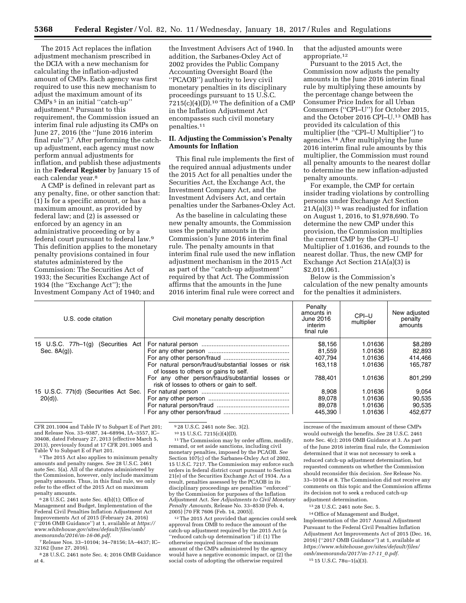The 2015 Act replaces the inflation adjustment mechanism prescribed in the DCIA with a new mechanism for calculating the inflation-adjusted amount of CMPs. Each agency was first required to use this new mechanism to adjust the maximum amount of its CMPs 5 in an initial ''catch-up'' adjustment.6 Pursuant to this requirement, the Commission issued an interim final rule adjusting its CMPs on June 27, 2016 (the ''June 2016 interim final rule'').7 After performing the catchup adjustment, each agency must now perform annual adjustments for inflation, and publish these adjustments in the **Federal Register** by January 15 of each calendar year.8

A CMP is defined in relevant part as any penalty, fine, or other sanction that: (1) Is for a specific amount, or has a maximum amount, as provided by federal law; and (2) is assessed or enforced by an agency in an administrative proceeding or by a federal court pursuant to federal law.9 This definition applies to the monetary penalty provisions contained in four statutes administered by the Commission: The Securities Act of 1933; the Securities Exchange Act of 1934 (the ''Exchange Act''); the Investment Company Act of 1940; and

the Investment Advisers Act of 1940. In addition, the Sarbanes-Oxley Act of 2002 provides the Public Company Accounting Oversight Board (the ''PCAOB'') authority to levy civil monetary penalties in its disciplinary proceedings pursuant to 15 U.S.C.  $7215(c)(4)(D).<sup>10</sup>$  The definition of a CMP in the Inflation Adjustment Act encompasses such civil monetary penalties.11

### **II. Adjusting the Commission's Penalty Amounts for Inflation**

This final rule implements the first of the required annual adjustments under the 2015 Act for all penalties under the Securities Act, the Exchange Act, the Investment Company Act, and the Investment Advisers Act, and certain penalties under the Sarbanes-Oxley Act.

As the baseline in calculating these new penalty amounts, the Commission uses the penalty amounts in the Commission's June 2016 interim final rule. The penalty amounts in that interim final rule used the new inflation adjustment mechanism in the 2015 Act as part of the ''catch-up adjustment'' required by that Act. The Commission affirms that the amounts in the June 2016 interim final rule were correct and

that the adjusted amounts were appropriate.12

Pursuant to the 2015 Act, the Commission now adjusts the penalty amounts in the June 2016 interim final rule by multiplying these amounts by the percentage change between the Consumer Price Index for all Urban Consumers (''CPI–U'') for October 2015, and the October 2016 CPI–U.13 OMB has provided its calculation of this multiplier (the ''CPI–U Multiplier'') to agencies.14 After multiplying the June 2016 interim final rule amounts by this multiplier, the Commission must round all penalty amounts to the nearest dollar to determine the new inflation-adjusted penalty amounts.

For example, the CMP for certain insider trading violations by controlling persons under Exchange Act Section  $21A(a)(3)^{15}$  was readjusted for inflation on August 1, 2016, to \$1,978,690. To determine the new CMP under this provision, the Commission multiplies the current CMP by the CPI–U Multiplier of 1.01636, and rounds to the nearest dollar. Thus, the new CMP for Exchange Act Section 21A(a)(3) is \$2,011,061.

Below is the Commission's calculation of the new penalty amounts for the penalties it administers.

| U.S. code citation                                  | Civil monetary penalty description                                                            | Penalty<br>amounts in<br>June 2016<br>interim<br>final rule | CPI-U<br>multiplier | New adjusted<br>penalty<br>amounts |
|-----------------------------------------------------|-----------------------------------------------------------------------------------------------|-------------------------------------------------------------|---------------------|------------------------------------|
| 15 U.S.C. 77h–1(g) (Securities Act                  |                                                                                               | \$8.156                                                     | 1.01636             | \$8,289                            |
| Sec. $8A(q)$ ).                                     |                                                                                               | 81.559                                                      | 1.01636             | 82,893                             |
|                                                     |                                                                                               | 407.794                                                     | 1.01636             | 414,466                            |
|                                                     | For natural person/fraud/substantial losses or risk<br>of losses to others or gains to self.  | 163.118                                                     | 1.01636             | 165.787                            |
|                                                     | For any other person/fraud/substantial losses or<br>risk of losses to others or gain to self. | 788.401                                                     | 1.01636             | 801,299                            |
| 15 U.S.C. 77t(d) (Securities Act Sec.<br>$20(d)$ ). |                                                                                               | 8.908                                                       | 1.01636             | 9.054                              |
|                                                     |                                                                                               | 89.078                                                      | 1.01636             | 90,535                             |
|                                                     |                                                                                               | 89.078                                                      | 1.01636             | 90,535                             |
|                                                     |                                                                                               | 445.390                                                     | 1.01636             | 452.677                            |

CFR 201.1004 and Table IV to Subpart E of Part 201; and Release Nos. 33–9387, 34–68994, IA–3557, IC– 30408, dated February 27, 2013 (effective March 5, 2013), previously found at 17 CFR 201.1005 and

<sup>5</sup> The 2015 Act also applies to minimum penalty amounts and penalty ranges. *See* 28 U.S.C. 2461 note Sec. 5(a). All of the statutes administered by the Commission, however, only include maximum penalty amounts. Thus, in this final rule, we only refer to the effect of the 2015 Act on maximum penalty amounts.

6 28 U.S.C. 2461 note Sec. 4(b)(1); Office of Management and Budget, Implementation of the Federal Civil Penalties Inflation Adjustment Act Improvements Act of 2015 (February 24, 2016) (''2016 OMB Guidance'') at 1, available at *[https://](https://www.whitehouse.gov/sites/default/files/omb/memoranda/2016/m-16-06.pdf)  [www.whitehouse.gov/sites/default/files/omb/](https://www.whitehouse.gov/sites/default/files/omb/memoranda/2016/m-16-06.pdf)  [memoranda/2016/m-16-06.pdf.](https://www.whitehouse.gov/sites/default/files/omb/memoranda/2016/m-16-06.pdf)* 

7Release Nos. 33–10104; 34–78156; IA–4437; IC–

<sup>8</sup> 28 U.S.C. 2461 note Sec. 4; 2016 OMB Guidance at 4.

9 28 U.S.C. 2461 note Sec. 3(2).

<sup>10</sup> 15 U.S.C. 7215(c)(4)(D).<br><sup>11</sup> The Commission may by order affirm, modify, remand, or set aside sanctions, including civil monetary penalties, imposed by the PCAOB. *See*  Section 107(c) of the Sarbanes-Oxley Act of 2002, 15 U.S.C. 7217. The Commission may enforce such orders in federal district court pursuant to Section 21(e) of the Securities Exchange Act of 1934. As a result, penalties assessed by the PCAOB in its disciplinary proceedings are penalties ''enforced'' by the Commission for purposes of the Inflation Adjustment Act. *See Adjustments to Civil Monetary Penalty Amounts,* Release No. 33–8530 (Feb. 4, 2005) [70 FR 7606 (Feb. 14, 2005)].

12The 2015 Act provided that agencies could seek approval from OMB to reduce the amount of the catch-up adjustment required by the 2015 Act (a ''reduced catch-up determination'') if: (1) The otherwise required increase of the maximum amount of the CMPs administered by the agency would have a negative economic impact, or (2) the social costs of adopting the otherwise required

increase of the maximum amount of these CMPs would outweigh the benefits. *See* 28 U.S.C. 2461 note Sec. 4(c); 2016 OMB Guidance at 3. As part of the June 2016 interim final rule, the Commission determined that it was not necessary to seek a reduced catch-up adjustment determination, but requested comments on whether the Commission should reconsider this decision. *See* Release No. 33–10104 at 8. The Commission did not receive any comments on this topic and the Commission affirms its decision not to seek a reduced catch-up adjustment determination.

13 28 U.S.C. 2461 note Sec. 5.

14Office of Management and Budget, Implementation of the 2017 Annual Adjustment Pursuant to the Federal Civil Penalties Inflation Adjustment Act Improvements Act of 2015 (Dec. 16, 2016) (''2017 OMB Guidance'') at 1, available at *[https://www.whitehouse.gov/sites/default/files/](https://www.whitehouse.gov/sites/default/files/omb/memoranda/2017/m-17-11_0.pdf)  [omb/memoranda/2017/m-17-11](https://www.whitehouse.gov/sites/default/files/omb/memoranda/2017/m-17-11_0.pdf)*\_*0.pdf.* 

15 15 U.S.C. 78u–1(a)(3).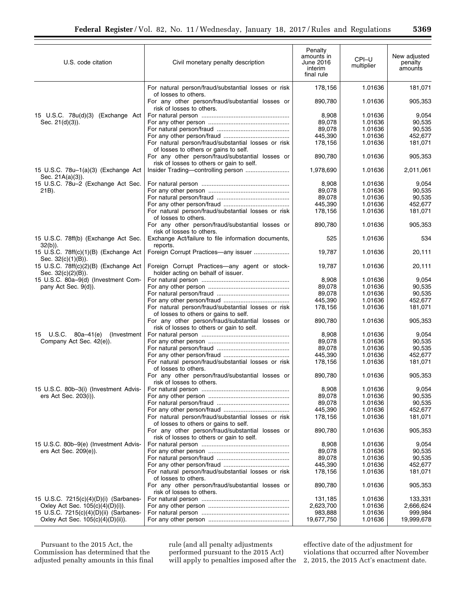| U.S. code citation                                                          | Civil monetary penalty description                                                                                                     | Penalty<br>amounts in<br>June 2016<br>interim<br>final rule | CPI-U<br>multiplier | New adjusted<br>penalty<br>amounts |
|-----------------------------------------------------------------------------|----------------------------------------------------------------------------------------------------------------------------------------|-------------------------------------------------------------|---------------------|------------------------------------|
|                                                                             | For natural person/fraud/substantial losses or risk                                                                                    | 178,156                                                     | 1.01636             | 181,071                            |
|                                                                             | of losses to others.<br>For any other person/fraud/substantial losses or<br>risk of losses to others.                                  | 890,780                                                     | 1.01636             | 905,353                            |
| 15 U.S.C. 78u(d)(3) (Exchange Act                                           |                                                                                                                                        | 8,908                                                       | 1.01636             | 9,054                              |
| Sec. 21(d)(3)).                                                             |                                                                                                                                        | 89,078                                                      | 1.01636             | 90,535                             |
|                                                                             |                                                                                                                                        | 89,078                                                      | 1.01636             | 90,535                             |
|                                                                             |                                                                                                                                        | 445,390                                                     | 1.01636             | 452,677                            |
|                                                                             | For natural person/fraud/substantial losses or risk                                                                                    | 178,156                                                     | 1.01636             | 181,071                            |
|                                                                             | of losses to others or gains to self.<br>For any other person/fraud/substantial losses or<br>risk of losses to others or gain to self. | 890,780                                                     | 1.01636             | 905,353                            |
| 15 U.S.C. 78u-1(a)(3) (Exchange Act<br>Sec. 21A(a)(3)).                     |                                                                                                                                        | 1,978,690                                                   | 1.01636             | 2,011,061                          |
| 15 U.S.C. 78u-2 (Exchange Act Sec.                                          |                                                                                                                                        | 8,908                                                       | 1.01636             | 9,054                              |
| $21B$ ).                                                                    |                                                                                                                                        | 89,078                                                      | 1.01636             | 90,535                             |
|                                                                             |                                                                                                                                        | 89,078                                                      | 1.01636             | 90.535                             |
|                                                                             |                                                                                                                                        | 445,390                                                     | 1.01636             | 452,677                            |
|                                                                             | For natural person/fraud/substantial losses or risk<br>of losses to others.                                                            | 178,156                                                     | 1.01636             | 181,071                            |
|                                                                             | For any other person/fraud/substantial losses or<br>risk of losses to others.                                                          | 890,780                                                     | 1.01636             | 905,353                            |
| 15 U.S.C. 78ff(b) (Exchange Act Sec.<br>$32(b)$ ).                          | Exchange Act/failure to file information documents,<br>reports.                                                                        | 525                                                         | 1.01636             | 534                                |
| 15 U.S.C. 78ff(c)(1)(B) (Exchange Act<br>Sec. 32(c)(1)(B)).                 | Foreign Corrupt Practices-any issuer                                                                                                   | 19,787                                                      | 1.01636             | 20,111                             |
| 15 U.S.C. 78ff(c)(2)(B) (Exchange Act<br>Sec. 32(c)(2)(B)).                 | Foreign Corrupt Practices-any agent or stock-<br>holder acting on behalf of issuer.                                                    | 19,787                                                      | 1.01636             | 20,111                             |
| 15 U.S.C. 80a-9(d) (Investment Com-                                         |                                                                                                                                        | 8,908                                                       | 1.01636             | 9,054                              |
| pany Act Sec. 9(d)).                                                        |                                                                                                                                        | 89,078                                                      | 1.01636             | 90,535                             |
|                                                                             |                                                                                                                                        | 89,078                                                      | 1.01636             | 90,535                             |
|                                                                             |                                                                                                                                        | 445,390                                                     | 1.01636             | 452,677                            |
|                                                                             | For natural person/fraud/substantial losses or risk<br>of losses to others or gains to self.                                           | 178,156                                                     | 1.01636             | 181,071                            |
|                                                                             | For any other person/fraud/substantial losses or<br>risk of losses to others or gain to self.                                          | 890,780                                                     | 1.01636             | 905,353                            |
| 15 U.S.C. 80a-41(e)<br>(Investment)                                         |                                                                                                                                        | 8,908                                                       | 1.01636             | 9,054                              |
| Company Act Sec. 42(e)).                                                    |                                                                                                                                        | 89,078                                                      | 1.01636             | 90,535                             |
|                                                                             |                                                                                                                                        | 89,078                                                      | 1.01636             | 90,535                             |
|                                                                             | For natural person/fraud/substantial losses or risk                                                                                    | 445,390<br>178,156                                          | 1.01636<br>1.01636  | 452,677<br>181,071                 |
|                                                                             | of losses to others.<br>For any other person/fraud/substantial losses or                                                               |                                                             | 1.01636             |                                    |
|                                                                             | risk of losses to others.                                                                                                              | 890,780                                                     |                     | 905,353                            |
| 15 U.S.C. 80b-3(i) (Investment Advis-<br>ers Act Sec. 203(i)).              |                                                                                                                                        | 8,908<br>89,078                                             | 1.01636<br>1.01636  | 9,054<br>90,535                    |
|                                                                             |                                                                                                                                        | 89,078                                                      | 1.01636             | 90,535                             |
|                                                                             |                                                                                                                                        | 445,390                                                     | 1.01636             | 452,677                            |
|                                                                             | For natural person/fraud/substantial losses or risk<br>of losses to others or gains to self.                                           | 178,156                                                     | 1.01636             | 181,071                            |
|                                                                             | For any other person/fraud/substantial losses or<br>risk of losses to others or gain to self.                                          | 890,780                                                     | 1.01636             | 905,353                            |
| 15 U.S.C. 80b-9(e) (Investment Advis-                                       |                                                                                                                                        | 8,908                                                       | 1.01636             | 9,054                              |
| ers Act Sec. 209(e)).                                                       |                                                                                                                                        | 89,078                                                      | 1.01636             | 90,535                             |
|                                                                             |                                                                                                                                        | 89,078                                                      | 1.01636             | 90,535                             |
|                                                                             |                                                                                                                                        | 445,390                                                     | 1.01636             | 452,677                            |
|                                                                             | For natural person/fraud/substantial losses or risk<br>of losses to others.                                                            | 178,156                                                     | 1.01636             | 181,071                            |
|                                                                             | For any other person/fraud/substantial losses or<br>risk of losses to others.                                                          | 890,780                                                     | 1.01636             | 905,353                            |
| 15 U.S.C. 7215(c)(4)(D)(i) (Sarbanes-                                       |                                                                                                                                        | 131,185                                                     | 1.01636             | 133,331                            |
| Oxley Act Sec. 105(c)(4)(D)(i)).                                            |                                                                                                                                        | 2,623,700                                                   | 1.01636             | 2,666,624                          |
| 15 U.S.C. 7215(c)(4)(D)(ii) (Sarbanes-<br>Oxley Act Sec. 105(c)(4)(D)(ii)). |                                                                                                                                        | 983,888<br>19,677,750                                       | 1.01636<br>1.01636  | 999,984<br>19,999,678              |
|                                                                             |                                                                                                                                        |                                                             |                     |                                    |

Pursuant to the 2015 Act, the Commission has determined that the adjusted penalty amounts in this final rule (and all penalty adjustments performed pursuant to the 2015 Act) will apply to penalties imposed after the effective date of the adjustment for violations that occurred after November 2, 2015, the 2015 Act's enactment date.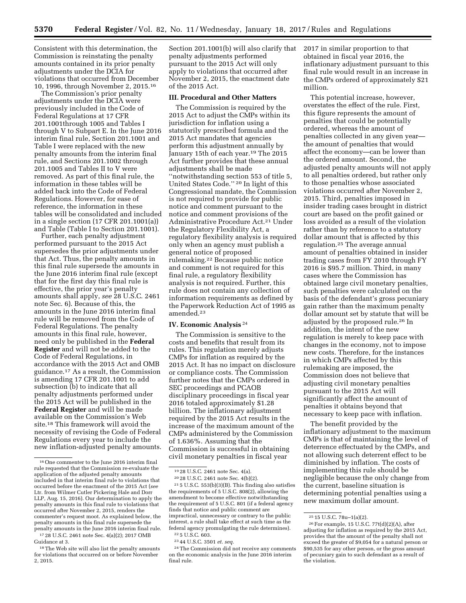Consistent with this determination, the Commission is reinstating the penalty amounts contained in its prior penalty adjustments under the DCIA for violations that occurred from December 10, 1996, through November 2, 2015.16

The Commission's prior penalty adjustments under the DCIA were previously included in the Code of Federal Regulations at 17 CFR 201.1001through 1005 and Tables I through V to Subpart E. In the June 2016 interim final rule, Section 201.1001 and Table I were replaced with the new penalty amounts from the interim final rule, and Sections 201.1002 through 201.1005 and Tables II to V were removed. As part of this final rule, the information in these tables will be added back into the Code of Federal Regulations. However, for ease of reference, the information in these tables will be consolidated and included in a single section (17 CFR 201.1001(a)) and Table (Table I to Section 201.1001).

Further, each penalty adjustment performed pursuant to the 2015 Act supersedes the prior adjustments under that Act. Thus, the penalty amounts in this final rule supersede the amounts in the June 2016 interim final rule (except that for the first day this final rule is effective, the prior year's penalty amounts shall apply, *see* 28 U.S.C. 2461 note Sec. 6). Because of this, the amounts in the June 2016 interim final rule will be removed from the Code of Federal Regulations. The penalty amounts in this final rule, however, need only be published in the **Federal Register** and will not be added to the Code of Federal Regulations, in accordance with the 2015 Act and OMB guidance.17 As a result, the Commission is amending 17 CFR 201.1001 to add subsection (b) to indicate that all penalty adjustments performed under the 2015 Act will be published in the **Federal Register** and will be made available on the Commission's Web site.18 This framework will avoid the necessity of revising the Code of Federal Regulations every year to include the new inflation-adjusted penalty amounts.

17 28 U.S.C. 2461 note Sec. 4(a)(2); 2017 OMB Guidance at 3.

Section 201.1001(b) will also clarify that penalty adjustments performed pursuant to the 2015 Act will only apply to violations that occurred after November 2, 2015, the enactment date of the 2015 Act.

### **III. Procedural and Other Matters**

The Commission is required by the 2015 Act to adjust the CMPs within its jurisdiction for inflation using a statutorily prescribed formula and the 2015 Act mandates that agencies perform this adjustment annually by January 15th of each year.19 The 2015 Act further provides that these annual adjustments shall be made ''notwithstanding section 553 of title 5, United States Code.'' 20 In light of this Congressional mandate, the Commission is not required to provide for public notice and comment pursuant to the notice and comment provisions of the Administrative Procedure Act.21 Under the Regulatory Flexibility Act, a regulatory flexibility analysis is required only when an agency must publish a general notice of proposed rulemaking.22 Because public notice and comment is not required for this final rule, a regulatory flexibility analysis is not required. Further, this rule does not contain any collection of information requirements as defined by the Paperwork Reduction Act of 1995 as amended.23

#### **IV. Economic Analysis** 24

The Commission is sensitive to the costs and benefits that result from its rules. This regulation merely adjusts CMPs for inflation as required by the 2015 Act. It has no impact on disclosure or compliance costs. The Commission further notes that the CMPs ordered in SEC proceedings and PCAOB disciplinary proceedings in fiscal year 2016 totaled approximately \$1.28 billion. The inflationary adjustment required by the 2015 Act results in the increase of the maximum amount of the CMPs administered by the Commission of 1.636%. Assuming that the Commission is successful in obtaining civil monetary penalties in fiscal year

2017 in similar proportion to that obtained in fiscal year 2016, the inflationary adjustment pursuant to this final rule would result in an increase in the CMPs ordered of approximately \$21 million.

This potential increase, however, overstates the effect of the rule. First, this figure represents the amount of penalties that could be potentially ordered, whereas the amount of penalties collected in any given year the amount of penalties that would affect the economy—can be lower than the ordered amount. Second, the adjusted penalty amounts will not apply to all penalties ordered, but rather only to those penalties whose associated violations occurred after November 2, 2015. Third, penalties imposed in insider trading cases brought in district court are based on the profit gained or loss avoided as a result of the violation rather than by reference to a statutory dollar amount that is affected by this regulation.25 The average annual amount of penalties obtained in insider trading cases from FY 2010 through FY 2016 is \$95.7 million. Third, in many cases where the Commission has obtained large civil monetary penalties, such penalties were calculated on the basis of the defendant's gross pecuniary gain rather than the maximum penalty dollar amount set by statute that will be adjusted by the proposed rule.26 In addition, the intent of the new regulation is merely to keep pace with changes in the economy, not to impose new costs. Therefore, for the instances in which CMPs affected by this rulemaking are imposed, the Commission does not believe that adjusting civil monetary penalties pursuant to the 2015 Act will significantly affect the amount of penalties it obtains beyond that necessary to keep pace with inflation.

The benefit provided by the inflationary adjustment to the maximum CMPs is that of maintaining the level of deterrence effectuated by the CMPs, and not allowing such deterrent effect to be diminished by inflation. The costs of implementing this rule should be negligible because the only change from the current, baseline situation is determining potential penalties using a new maximum dollar amount.

<sup>16</sup>One commenter to the June 2016 interim final rule requested that the Commission re-evaluate the application of the adjusted penalty amounts included in that interim final rule to violations that occurred before the enactment of the 2015 Act (*see*  Ltr. from Wilmer Cutler Pickering Hale and Dorr LLP, Aug. 15, 2016). Our determination to apply the penalty amounts in this final rule to violations that occurred after November 2, 2015, renders the commenter's request moot. As explained below, the penalty amounts in this final rule supersede the penalty amounts in the June 2016 interim final rule.

<sup>18</sup>The Web site will also list the penalty amounts for violations that occurred on or before November 2, 2015.

<sup>19</sup> 28 U.S.C. 2461 note Sec. 4(a).

<sup>20</sup> 28 U.S.C. 2461 note Sec. 4(b)(2).

<sup>21</sup> 5 U.S.C. 553(b)(3)(B). This finding also satisfies the requirements of 5 U.S.C. 808(2), allowing the amendment to become effective notwithstanding the requirement of 5 U.S.C. 801 (if a federal agency finds that notice and public comment are impractical, unnecessary or contrary to the public interest, a rule shall take effect at such time as the federal agency promulgating the rule determines). 22 5 U.S.C. 603.

<sup>23</sup> 44 U.S.C. 3501 *et. seq.* 

<sup>24</sup>The Commission did not receive any comments on the economic analysis in the June 2016 interim final rule.

<sup>25</sup> 15 U.S.C. 78u–1(a)(2).

<sup>26</sup>For example, 15 U.S.C. 77t(d)(2)(A), after adjusting for inflation as required by the 2015 Act, provides that the amount of the penalty shall not exceed the greater of \$9,054 for a natural person or \$90,535 for any other person, or the gross amount of pecuniary gain to such defendant as a result of the violation.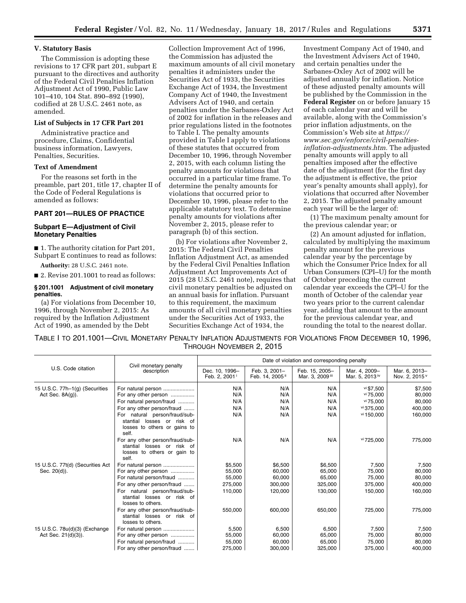### **V. Statutory Basis**

The Commission is adopting these revisions to 17 CFR part 201, subpart E pursuant to the directives and authority of the Federal Civil Penalties Inflation Adjustment Act of 1990, Public Law 101–410, 104 Stat. 890–892 (1990), codified at 28 U.S.C. 2461 note, as amended.

### **List of Subjects in 17 CFR Part 201**

Administrative practice and procedure, Claims, Confidential business information, Lawyers, Penalties, Securities.

### **Text of Amendment**

For the reasons set forth in the preamble, part 201, title 17, chapter II of the Code of Federal Regulations is amended as follows:

### **PART 201—RULES OF PRACTICE**

### **Subpart E—Adjustment of Civil Monetary Penalties**

■ 1. The authority citation for Part 201, Subpart E continues to read as follows:

**Authority:** 28 U.S.C. 2461 note.

■ 2. Revise 201.1001 to read as follows:

### **§ 201.1001 Adjustment of civil monetary penalties.**

(a) For violations from December 10, 1996, through November 2, 2015: As required by the Inflation Adjustment Act of 1990, as amended by the Debt

Collection Improvement Act of 1996, the Commission has adjusted the maximum amounts of all civil monetary penalties it administers under the Securities Act of 1933, the Securities Exchange Act of 1934, the Investment Company Act of 1940, the Investment Advisers Act of 1940, and certain penalties under the Sarbanes-Oxley Act of 2002 for inflation in the releases and prior regulations listed in the footnotes to Table I. The penalty amounts provided in Table I apply to violations of these statutes that occurred from December 10, 1996, through November 2, 2015, with each column listing the penalty amounts for violations that occurred in a particular time frame. To determine the penalty amounts for violations that occurred prior to December 10, 1996, please refer to the applicable statutory text. To determine penalty amounts for violations after November 2, 2015, please refer to paragraph (b) of this section.

(b) For violations after November 2, 2015: The Federal Civil Penalties Inflation Adjustment Act, as amended by the Federal Civil Penalties Inflation Adjustment Act Improvements Act of 2015 (28 U.S.C. 2461 note), requires that civil monetary penalties be adjusted on an annual basis for inflation. Pursuant to this requirement, the maximum amounts of all civil monetary penalties under the Securities Act of 1933, the Securities Exchange Act of 1934, the

Investment Company Act of 1940, and the Investment Advisers Act of 1940, and certain penalties under the Sarbanes-Oxley Act of 2002 will be adjusted annually for inflation. Notice of these adjusted penalty amounts will be published by the Commission in the **Federal Register** on or before January 15 of each calendar year and will be available, along with the Commission's prior inflation adjustments, on the Commission's Web site at *[https://](https://www.sec.gov/enforce/civil-penalties-inflation-adjustments.htm) [www.sec.gov/enforce/civil-penalties](https://www.sec.gov/enforce/civil-penalties-inflation-adjustments.htm)[inflation-adjustments.htm.](https://www.sec.gov/enforce/civil-penalties-inflation-adjustments.htm)* The adjusted penalty amounts will apply to all penalties imposed after the effective date of the adjustment (for the first day the adjustment is effective, the prior year's penalty amounts shall apply), for violations that occurred after November 2, 2015. The adjusted penalty amount each year will be the larger of:

(1) The maximum penalty amount for the previous calendar year; or

(2) An amount adjusted for inflation, calculated by multiplying the maximum penalty amount for the previous calendar year by the percentage by which the Consumer Price Index for all Urban Consumers (CPI–U) for the month of October preceding the current calendar year exceeds the CPI–U for the month of October of the calendar year two years prior to the current calendar year, adding that amount to the amount for the previous calendar year, and rounding the total to the nearest dollar.

TABLE I TO 201.1001—CIVIL MONETARY PENALTY INFLATION ADJUSTMENTS FOR VIOLATIONS FROM DECEMBER 10, 1996, THROUGH NOVEMBER 2, 2015

| U.S. Code citation                                    | Civil monetary penalty<br>description                                                                                                                                                                  | Date of violation and corresponding penalty       |                                                   |                                                   |                                                                  |                                                   |
|-------------------------------------------------------|--------------------------------------------------------------------------------------------------------------------------------------------------------------------------------------------------------|---------------------------------------------------|---------------------------------------------------|---------------------------------------------------|------------------------------------------------------------------|---------------------------------------------------|
|                                                       |                                                                                                                                                                                                        | Dec. 10. 1996-<br>Feb. 2, 2001 <sup>i</sup>       | Feb. 3. 2001-<br>Feb. 14, 2005 <sup>ii</sup>      | Feb. 15, 2005-<br>Mar. 3, 2009 iii                | Mar. 4. 2009-<br>Mar. 5, 2013 <sup>iv</sup>                      | Mar. 6. 2013-<br>Nov. 2, 2015 <sup>v</sup>        |
| 15 U.S.C. 77h-1(g) (Securities<br>Act Sec. $8A(g)$ ). | For natural person<br>For any other person<br>For natural person/fraud<br>For any other person/fraud<br>For natural person/fraud/sub-<br>stantial<br>losses or risk of<br>losses to others or gains to | N/A<br>N/A<br>N/A<br>N/A<br>N/A                   | N/A<br>N/A<br>N/A<br>N/A<br>N/A                   | N/A<br>N/A<br>N/A<br>N/A<br>N/A                   | vi \$7,500<br>vi 75.000<br>vi 75.000<br>vi 375.000<br>vi 150,000 | \$7,500<br>80,000<br>80,000<br>400,000<br>160,000 |
|                                                       | self.<br>For any other person/fraud/sub-<br>losses or risk of<br>stantial<br>losses to others or gain to<br>self.                                                                                      | N/A                                               | N/A                                               | N/A                                               | vi 725,000                                                       | 775,000                                           |
| 15 U.S.C. 77t(d) (Securities Act<br>Sec. 20(d)).      | For natural person<br>For any other person<br>For natural person/fraud<br>For any other person/fraud<br>For natural person/fraud/sub-<br>stantial<br>losses or risk of<br>losses to others.            | \$5,500<br>55,000<br>55,000<br>275,000<br>110,000 | \$6,500<br>60,000<br>60,000<br>300,000<br>120,000 | \$6,500<br>65,000<br>65,000<br>325,000<br>130,000 | 7,500<br>75,000<br>75,000<br>375,000<br>150,000                  | 7,500<br>80,000<br>80,000<br>400,000<br>160,000   |
|                                                       | For any other person/fraud/sub-<br>stantial losses or risk of<br>losses to others.                                                                                                                     | 550,000                                           | 600,000                                           | 650,000                                           | 725,000                                                          | 775,000                                           |
| 15 U.S.C. 78u(d)(3) (Exchange<br>Act Sec. 21(d)(3)).  | For natural person<br>For any other person<br>For natural person/fraud<br>For any other person/fraud                                                                                                   | 5,500<br>55,000<br>55,000<br>275,000              | 6,500<br>60,000<br>60,000<br>300,000              | 6,500<br>65,000<br>65,000<br>325,000              | 7,500<br>75,000<br>75,000<br>375,000                             | 7,500<br>80,000<br>80,000<br>400,000              |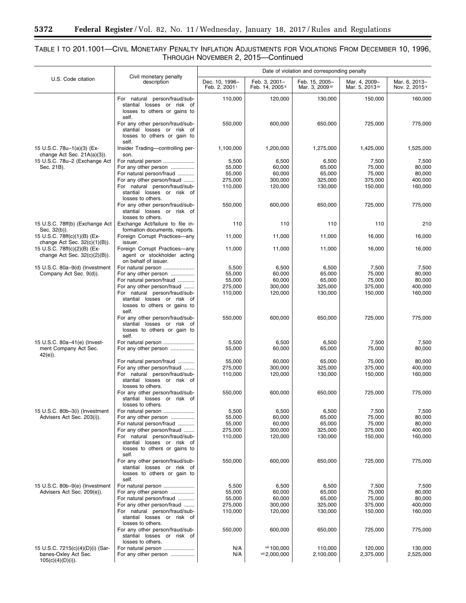$\equiv$ 

# TABLE I TO 201.1001—CIVIL MONETARY PENALTY INFLATION ADJUSTMENTS FOR VIOLATIONS FROM DECEMBER 10, 1996, THROUGH NOVEMBER 2, 2015—Continued

٠

|                                                                               | Civil monetary penalty<br>description                                                                          | Date of violation and corresponding penalty |                                              |                                    |                                             |                                            |  |
|-------------------------------------------------------------------------------|----------------------------------------------------------------------------------------------------------------|---------------------------------------------|----------------------------------------------|------------------------------------|---------------------------------------------|--------------------------------------------|--|
| U.S. Code citation                                                            |                                                                                                                | Dec. 10, 1996-<br>Feb. 2, 2001 <sup>i</sup> | Feb. 3, 2001-<br>Feb. 14, 2005 <sup>ii</sup> | Feb. 15, 2005-<br>Mar. 3, 2009 iii | Mar. 4, 2009-<br>Mar. 5, 2013 <sup>iv</sup> | Mar. 6, 2013-<br>Nov. 2, 2015 <sup>v</sup> |  |
|                                                                               | For natural person/fraud/sub-<br>stantial losses or risk of<br>losses to others or gains to<br>self.           | 110,000                                     | 120,000                                      | 130,000                            | 150,000                                     | 160,000                                    |  |
|                                                                               | For any other person/fraud/sub-<br>stantial losses or risk of<br>losses to others or gain to<br>self.          | 550,000                                     | 600,000                                      | 650,000                            | 725,000                                     | 775,000                                    |  |
| 15 U.S.C. 78u-1(a)(3) (Ex-<br>change Act Sec. $21A(a)(3)$ ).                  | Insider Trading-controlling per-<br>son.                                                                       | 1,100,000                                   | 1,200,000                                    | 1,275,000                          | 1,425,000                                   | 1,525,000                                  |  |
| 15 U.S.C. 78u-2 (Exchange Act                                                 | For natural person                                                                                             | 5,500                                       | 6,500                                        | 6,500                              | 7,500                                       | 7,500                                      |  |
| Sec. 21B).                                                                    | For any other person                                                                                           | 55,000                                      | 60,000                                       | 65,000                             | 75,000                                      | 80,000                                     |  |
|                                                                               | For natural person/fraud<br>For any other person/fraud                                                         | 55,000<br>275,000                           | 60,000<br>300,000                            | 65,000<br>325,000                  | 75,000<br>375,000                           | 80,000<br>400,000                          |  |
|                                                                               | For natural person/fraud/sub-<br>stantial losses or risk of<br>losses to others.                               | 110,000                                     | 120,000                                      | 130,000                            | 150,000                                     | 160,000                                    |  |
|                                                                               | For any other person/fraud/sub-<br>stantial losses or risk of<br>losses to others.                             | 550,000                                     | 600,000                                      | 650,000                            | 725,000                                     | 775,000                                    |  |
| 15 U.S.C. 78ff(b) (Exchange Act<br>Sec. 32(b)).                               | Exchange Act/failure to file in-<br>formation documents, reports.                                              | 110                                         | 110                                          | 110                                | 110                                         | 210                                        |  |
| 15 U.S.C. 78ff(c)(1)(B) (Ex-<br>change Act Sec. $32(c)(1)(B)$ ).              | Foreign Corrupt Practices-any<br>issuer.                                                                       | 11,000                                      | 11,000                                       | 11,000                             | 16,000                                      | 16,000                                     |  |
| 15 U.S.C. 78ff(c)(2)(B) (Ex-<br>change Act Sec. $32(c)(2)(B)$ ).              | Foreign Corrupt Practices-any<br>agent or stockholder acting<br>on behalf of issuer.                           | 11,000                                      | 11,000                                       | 11,000                             | 16,000                                      | 16,000                                     |  |
| 15 U.S.C. 80a-9(d) (Investment                                                | For natural person                                                                                             | 5,500                                       | 6,500                                        | 6,500                              | 7,500                                       | 7,500                                      |  |
| Company Act Sec. 9(d)).                                                       | For any other person                                                                                           | 55,000                                      | 60,000                                       | 65,000                             | 75,000                                      | 80,000                                     |  |
|                                                                               | For natural person/fraud<br>For any other person/fraud                                                         | 55,000<br>275,000                           | 60,000<br>300,000                            | 65,000<br>325,000                  | 75,000<br>375,000                           | 80,000<br>400,000                          |  |
|                                                                               | For natural person/fraud/sub-<br>stantial losses or risk of<br>losses to others or gains to                    | 110,000                                     | 120,000                                      | 130,000                            | 150,000                                     | 160,000                                    |  |
|                                                                               | self.<br>For any other person/fraud/sub-<br>stantial losses or risk of<br>losses to others or gain to          | 550,000                                     | 600,000                                      | 650,000                            | 725,000                                     | 775,000                                    |  |
|                                                                               | self.                                                                                                          |                                             |                                              |                                    |                                             |                                            |  |
| 15 U.S.C. 80a-41(e) (Invest-<br>ment Company Act Sec.<br>42(e)).              | For natural person<br>For any other person                                                                     | 5,500<br>55,000                             | 6,500<br>60,000                              | 6,500<br>65,000                    | 7,500<br>75,000                             | 7,500<br>80,000                            |  |
|                                                                               | For natural person/fraud                                                                                       | 55,000                                      | 60,000                                       | 65,000                             | 75,000                                      | 80,000                                     |  |
|                                                                               | For any other person/fraud<br>For natural person/fraud/sub-<br>stantial losses or risk of<br>losses to others. | 275,000<br>110,000                          | 300,000<br>120,000                           | 325,000<br>130,000                 | 375,000<br>150,000                          | 400,000<br>160,000                         |  |
|                                                                               | For any other person/fraud/sub-<br>stantial losses or risk of<br>losses to others.                             | 550,000                                     | 600,000                                      | 650,000                            | 725,000                                     | 775,000                                    |  |
| 15 U.S.C. 80b-3(i) (Investment                                                | For natural person                                                                                             | 5,500                                       | 6,500                                        | 6,500                              | 7,500                                       | 7,500                                      |  |
| Advisers Act Sec. 203(i)).                                                    | For any other person                                                                                           | 55,000                                      | 60,000                                       | 65,000                             | 75,000                                      | 80,000                                     |  |
|                                                                               | For natural person/fraud<br>For any other person/fraud                                                         | 55,000<br>275,000                           | 60,000<br>300,000                            | 65,000<br>325,000                  | 75,000<br>375,000                           | 80,000<br>400,000                          |  |
|                                                                               | For natural person/fraud/sub-<br>stantial losses or risk of<br>losses to others or gains to<br>self.           | 110,000                                     | 120,000                                      | 130,000                            | 150,000                                     | 160,000                                    |  |
|                                                                               | For any other person/fraud/sub-<br>stantial losses or risk of<br>losses to others or gain to<br>self.          | 550,000                                     | 600,000                                      | 650,000                            | 725,000                                     | 775,000                                    |  |
| 15 U.S.C. 80b-9(e) (Investment                                                | For natural person                                                                                             | 5,500                                       | 6,500                                        | 6,500                              | 7,500                                       | 7,500                                      |  |
| Advisers Act Sec. 209(e)).                                                    | For any other person                                                                                           | 55,000                                      | 60,000                                       | 65,000                             | 75,000                                      | 80,000                                     |  |
|                                                                               | For natural person/fraud                                                                                       | 55,000                                      | 60,000                                       | 65,000                             | 75,000                                      | 80,000                                     |  |
|                                                                               | For any other person/fraud<br>For natural person/fraud/sub-<br>stantial losses or risk of<br>losses to others. | 275,000<br>110,000                          | 300,000<br>120,000                           | 325,000<br>130,000                 | 375,000<br>150,000                          | 400,000<br>160,000                         |  |
|                                                                               | For any other person/fraud/sub-<br>stantial losses or risk of<br>losses to others.                             | 550,000                                     | 600,000                                      | 650,000                            | 725,000                                     | 775,000                                    |  |
| 15 U.S.C. 7215(c)(4)(D)(i) (Sar-<br>banes-Oxley Act Sec.<br>105(c)(4)(D)(i)). | For natural person<br>For any other person                                                                     | N/A<br>N/A                                  | vii 100,000<br>vii 2,000,000                 | 110,000<br>2,100,000               | 120,000<br>2,375,000                        | 130,000<br>2,525,000                       |  |